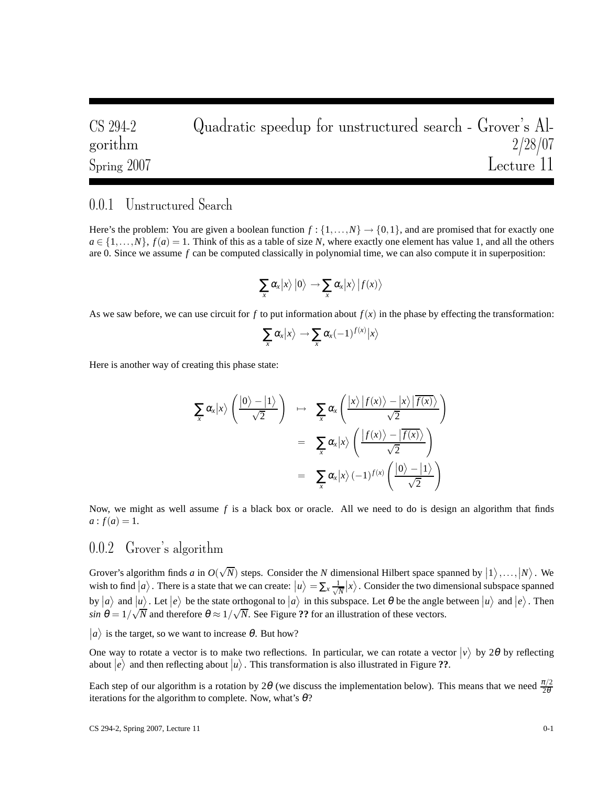CS 294-2 Quadratic speedup for unstructured search - Grover's Algorithm  $\frac{2}{28/07}$ gorithm  $2/28/07$ Spring 2007 Lecture 11

## 0.0.1 Unstructured Search

Here's the problem: You are given a boolean function  $f: \{1, ..., N\} \rightarrow \{0, 1\}$ , and are promised that for exactly one  $a \in \{1, \ldots, N\}$ ,  $f(a) = 1$ . Think of this as a table of size *N*, where exactly one element has value 1, and all the others are 0. Since we assume *f* can be computed classically in polynomial time, we can also compute it in superposition:

$$
\sum_{x} \alpha_{x} |x\rangle |0\rangle \rightarrow \sum_{x} \alpha_{x} |x\rangle |f(x)\rangle
$$

As we saw before, we can use circuit for  $f$  to put information about  $f(x)$  in the phase by effecting the transformation:

$$
\sum_{x} \alpha_{x} |x\rangle \rightarrow \sum_{x} \alpha_{x} (-1)^{f(x)} |x\rangle
$$

Here is another way of creating this phase state:

$$
\sum_{x} \alpha_{x} |x\rangle \left( \frac{|0\rangle - |1\rangle}{\sqrt{2}} \right) \rightarrow \sum_{x} \alpha_{x} \left( \frac{|x\rangle |f(x)\rangle - |x\rangle | \overline{f(x)}\rangle}{\sqrt{2}} \right)
$$
  

$$
= \sum_{x} \alpha_{x} |x\rangle \left( \frac{|f(x)\rangle - | \overline{f(x)}\rangle}{\sqrt{2}} \right)
$$
  

$$
= \sum_{x} \alpha_{x} |x\rangle (-1)^{f(x)} \left( \frac{|0\rangle - |1\rangle}{\sqrt{2}} \right)
$$

Now, we might as well assume *f* is a black box or oracle. All we need to do is design an algorithm that finds  $a: f(a) = 1.$ 

## 0.0.2 Grover's algorithm

Grover's algorithm finds *a* in  $O(\sqrt{N})$  steps. Consider the *N* dimensional Hilbert space spanned by  $|1\rangle$ ,...,  $|N\rangle$ . We wish to find  $|a\rangle$ . There is a state that we can create:  $|u\rangle = \sum_{x} \frac{1}{\sqrt{x}}$  $\frac{1}{N}|x\rangle$ . Consider the two dimensional subspace spanned by  $|a\rangle$  and  $|u\rangle$ . Let  $|e\rangle$  be the state orthogonal to  $|a\rangle$  in this subspace. Let  $\theta$  be the angle between  $|u\rangle$  and  $|e\rangle$ . Then  $\sin \theta = 1/\sqrt{N}$  and therefore  $\theta \approx 1/\sqrt{N}$ . See Figure ?? for an illustration of these vectors.

 $|a\rangle$  is the target, so we want to increase  $\theta$ . But how?

One way to rotate a vector is to make two reflections. In particular, we can rotate a vector  $|v\rangle$  by 2 $\theta$  by reflecting about  $|e\rangle$  and then reflecting about  $|u\rangle$ . This transformation is also illustrated in Figure **??**.

Each step of our algorithm is a rotation by 2 $\theta$  (we discuss the implementation below). This means that we need  $\frac{\pi/2}{2\theta}$ iterations for the algorithm to complete. Now, what's  $\theta$ ?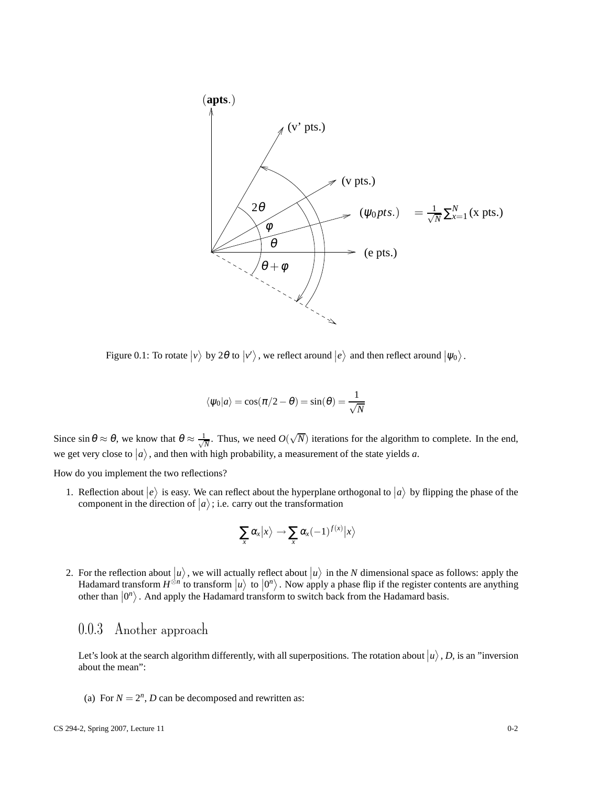

Figure 0.1: To rotate  $|v\rangle$  by 2 $\theta$  to  $|v'\rangle$ , we reflect around  $|e\rangle$  and then reflect around  $|\psi_0\rangle$ .

$$
\langle \psi_0 | a \rangle = \cos(\pi/2 - \theta) = \sin(\theta) = \frac{1}{\sqrt{N}}
$$

Since  $\sin \theta \approx \theta$ , we know that  $\theta \approx \frac{1}{\sqrt{\pi}}$  $\frac{1}{N}$ . Thus, we need  $O(\sqrt{N})$  iterations for the algorithm to complete. In the end, we get very close to  $|a\rangle$ , and then with high probability, a measurement of the state yields *a*.

How do you implement the two reflections?

1. Reflection about  $|e\rangle$  is easy. We can reflect about the hyperplane orthogonal to  $|a\rangle$  by flipping the phase of the component in the direction of  $|a\rangle$ ; i.e. carry out the transformation

$$
\sum_{x} \alpha_x |x\rangle \rightarrow \sum_{x} \alpha_x (-1)^{f(x)} |x\rangle
$$

2. For the reflection about  $|u\rangle$ , we will actually reflect about  $|u\rangle$  in the *N* dimensional space as follows: apply the Hadamard transform  $H^{\otimes n}$  to transform  $|u\rangle$  to  $|0^n\rangle$ . Now apply a phase flip if the register contents are anything other than  $|0^n\rangle$ . And apply the Hadamard transform to switch back from the Hadamard basis.

## 0.0.3 Another approach

Let's look at the search algorithm differently, with all superpositions. The rotation about  $|u\rangle$ , *D*, is an "inversion about the mean":

(a) For  $N = 2^n$ , *D* can be decomposed and rewritten as: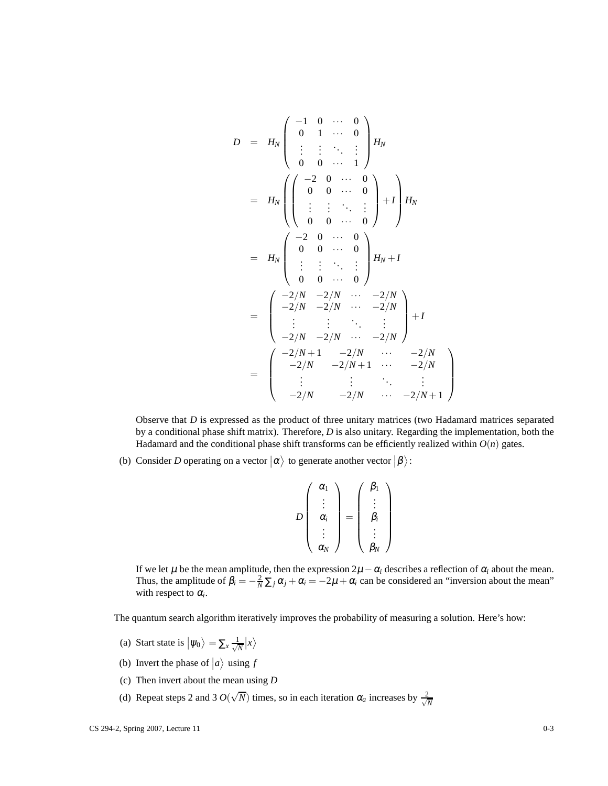$$
D = H_N \begin{pmatrix} -1 & 0 & \cdots & 0 \\ 0 & 1 & \cdots & 0 \\ \vdots & \vdots & \ddots & \vdots \\ 0 & 0 & \cdots & 1 \end{pmatrix} H_N
$$
  
\n
$$
= H_N \begin{pmatrix} -2 & 0 & \cdots & 0 \\ 0 & 0 & \cdots & 0 \\ \vdots & \vdots & \ddots & \vdots \\ 0 & 0 & \cdots & 0 \end{pmatrix} + I \begin{pmatrix} 1 \\ H_N \\ H_N \end{pmatrix}
$$
  
\n
$$
= H_N \begin{pmatrix} -2 & 0 & \cdots & 0 \\ 0 & 0 & \cdots & 0 \\ \vdots & \vdots & \ddots & \vdots \\ 0 & 0 & \cdots & 0 \end{pmatrix} H_N + I
$$
  
\n
$$
= \begin{pmatrix} -2/N & -2/N & \cdots & -2/N \\ -2/N & -2/N & \cdots & -2/N \\ \vdots & \vdots & \ddots & \vdots \\ -2/N & -2/N & \cdots & -2/N \\ \vdots & \vdots & \ddots & \vdots \\ -2/N & -2/N & \cdots & -2/N + 1 \end{pmatrix}
$$
  
\n
$$
= \begin{pmatrix} -2/N & -2/N & \cdots & -2/N \\ -2/N & -2/N + 1 & \cdots & -2/N \\ \vdots & \vdots & \ddots & \vdots \\ -2/N & -2/N & \cdots & -2/N + 1 \end{pmatrix}
$$

Observe that *D* is expressed as the product of three unitary matrices (two Hadamard matrices separated by a conditional phase shift matrix). Therefore, *D* is also unitary. Regarding the implementation, both the Hadamard and the conditional phase shift transforms can be efficiently realized within  $O(n)$  gates.

 $\setminus$ 

 $\Bigg\}$ 

(b) Consider *D* operating on a vector  $|\alpha\rangle$  to generate another vector  $|\beta\rangle$ :

$$
D\left(\begin{array}{c}\n\alpha_1 \\
\vdots \\
\alpha_i \\
\vdots \\
\alpha_N\n\end{array}\right) = \left(\begin{array}{c}\n\beta_1 \\
\vdots \\
\beta_i \\
\vdots \\
\beta_N\n\end{array}\right)
$$

If we let  $\mu$  be the mean amplitude, then the expression  $2\mu - \alpha_i$  describes a reflection of  $\alpha_i$  about the mean. Thus, the amplitude of  $\beta_i = -\frac{2}{N} \sum_j \alpha_j + \alpha_i = -2\mu + \alpha_i$  can be considered an "inversion about the mean" with respect to  $\alpha_i$ .

The quantum search algorithm iteratively improves the probability of measuring a solution. Here's how:

- (a) Start state is  $|\psi_0\rangle = \sum_x \frac{1}{\sqrt{2}}$  $\frac{1}{N}$   $\ket{x}$
- (b) Invert the phase of  $|a\rangle$  using *f*
- (c) Then invert about the mean using *D*
- (d) Repeat steps 2 and 3  $O(\sqrt{N})$  times, so in each iteration  $\alpha_a$  increases by  $\frac{2}{\sqrt{N}}$ *N*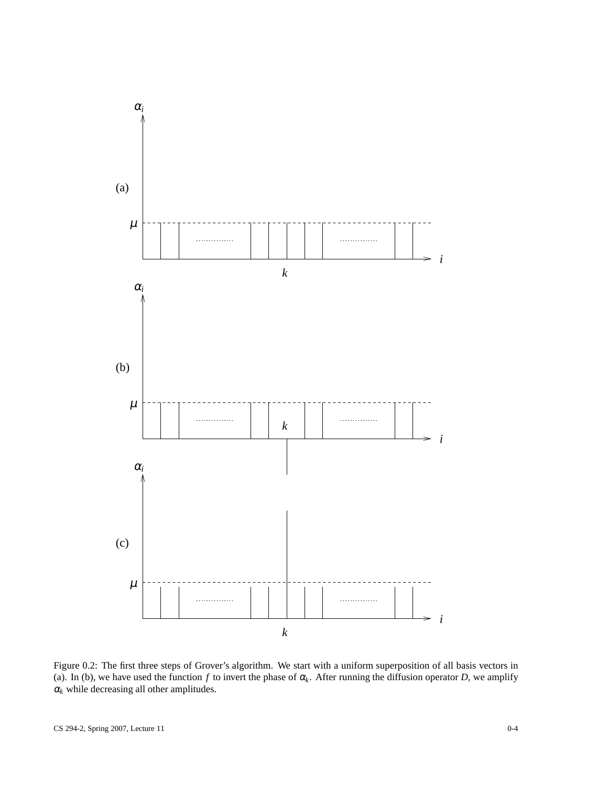

Figure 0.2: The first three steps of Grover's algorithm. We start with a uniform superposition of all basis vectors in (a). In (b), we have used the function  $f$  to invert the phase of  $\alpha_k$ . After running the diffusion operator *D*, we amplify  $\alpha_k$  while decreasing all other amplitudes.